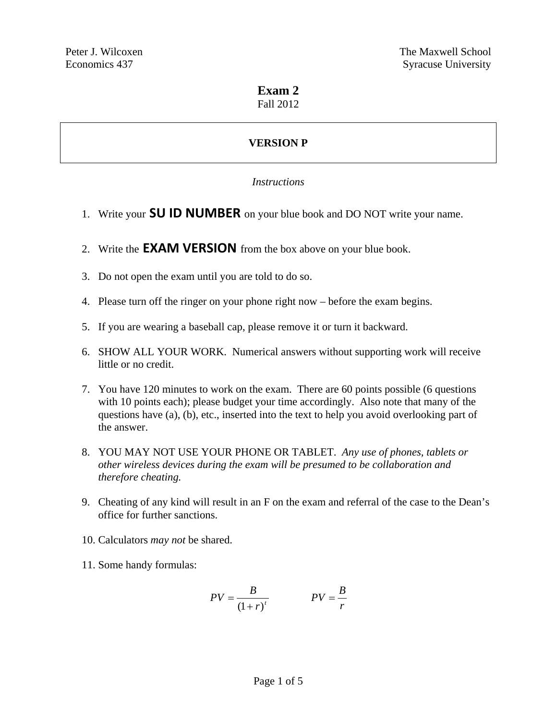# **Exam 2**

#### Fall 2012

# **VERSION P**

### *Instructions*

- 1. Write your **SU ID NUMBER** on your blue book and DO NOT write your name.
- 2. Write the **EXAM VERSION** from the box above on your blue book.
- 3. Do not open the exam until you are told to do so.
- 4. Please turn off the ringer on your phone right now before the exam begins.
- 5. If you are wearing a baseball cap, please remove it or turn it backward.
- 6. SHOW ALL YOUR WORK. Numerical answers without supporting work will receive little or no credit.
- 7. You have 120 minutes to work on the exam. There are 60 points possible (6 questions with 10 points each); please budget your time accordingly. Also note that many of the questions have (a), (b), etc., inserted into the text to help you avoid overlooking part of the answer.
- 8. YOU MAY NOT USE YOUR PHONE OR TABLET. *Any use of phones, tablets or other wireless devices during the exam will be presumed to be collaboration and therefore cheating.*
- 9. Cheating of any kind will result in an F on the exam and referral of the case to the Dean's office for further sanctions.
- 10. Calculators *may not* be shared.
- 11. Some handy formulas:

$$
PV = \frac{B}{(1+r)^t}
$$
 
$$
PV = \frac{B}{r}
$$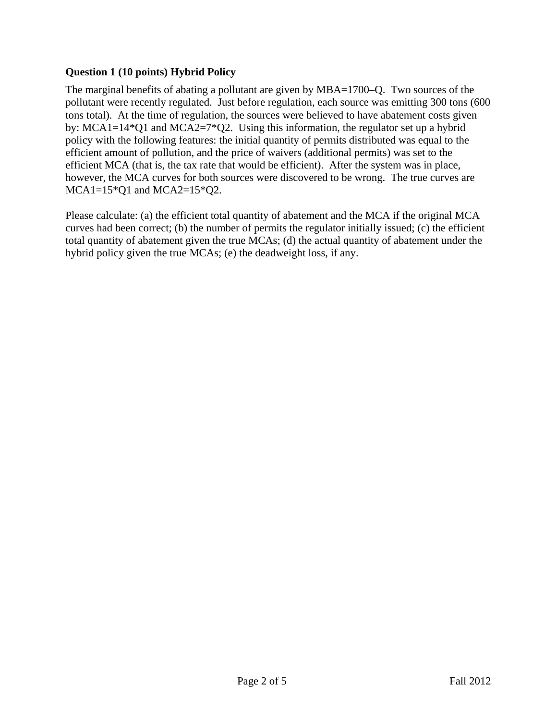#### **Question 1 (10 points) Hybrid Policy**

The marginal benefits of abating a pollutant are given by MBA=1700–Q. Two sources of the pollutant were recently regulated. Just before regulation, each source was emitting 300 tons (600 tons total). At the time of regulation, the sources were believed to have abatement costs given by: MCA1=14\*Q1 and MCA2=7\*Q2. Using this information, the regulator set up a hybrid policy with the following features: the initial quantity of permits distributed was equal to the efficient amount of pollution, and the price of waivers (additional permits) was set to the efficient MCA (that is, the tax rate that would be efficient). After the system was in place, however, the MCA curves for both sources were discovered to be wrong. The true curves are  $MCA1=15*Q1$  and  $MCA2=15*Q2$ .

Please calculate: (a) the efficient total quantity of abatement and the MCA if the original MCA curves had been correct; (b) the number of permits the regulator initially issued; (c) the efficient total quantity of abatement given the true MCAs; (d) the actual quantity of abatement under the hybrid policy given the true MCAs; (e) the deadweight loss, if any.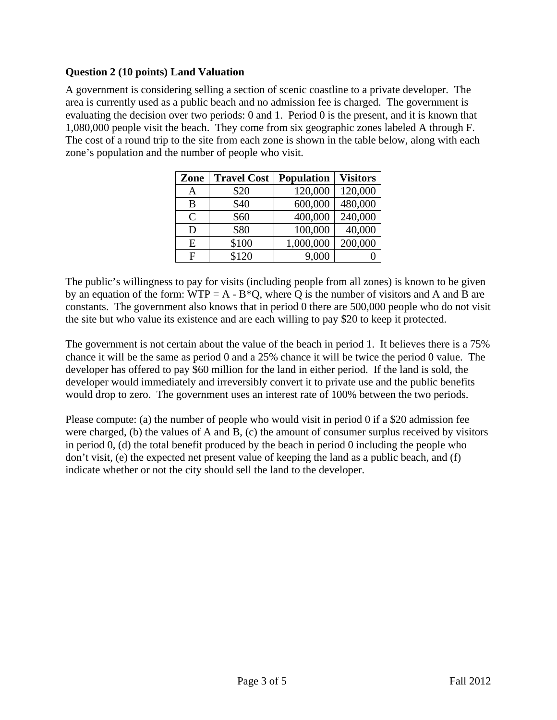#### **Question 2 (10 points) Land Valuation**

A government is considering selling a section of scenic coastline to a private developer. The area is currently used as a public beach and no admission fee is charged. The government is evaluating the decision over two periods: 0 and 1. Period 0 is the present, and it is known that 1,080,000 people visit the beach. They come from six geographic zones labeled A through F. The cost of a round trip to the site from each zone is shown in the table below, along with each zone's population and the number of people who visit.

| Zone         | <b>Travel Cost</b> | <b>Population</b> | <b>Visitors</b> |
|--------------|--------------------|-------------------|-----------------|
|              | \$20               | 120,000           | 120,000         |
| B            | \$40               | 600,000           | 480,000         |
| $\mathsf{C}$ | \$60               | 400,000           | 240,000         |
| D            | \$80               | 100,000           | 40,000          |
| E            | \$100              | 1,000,000         | 200,000         |
| F            | \$120              | 9,000             |                 |

The public's willingness to pay for visits (including people from all zones) is known to be given by an equation of the form:  $WTP = A - B^*Q$ , where Q is the number of visitors and A and B are constants. The government also knows that in period 0 there are 500,000 people who do not visit the site but who value its existence and are each willing to pay \$20 to keep it protected.

The government is not certain about the value of the beach in period 1. It believes there is a 75% chance it will be the same as period 0 and a 25% chance it will be twice the period 0 value. The developer has offered to pay \$60 million for the land in either period. If the land is sold, the developer would immediately and irreversibly convert it to private use and the public benefits would drop to zero. The government uses an interest rate of 100% between the two periods.

Please compute: (a) the number of people who would visit in period 0 if a \$20 admission fee were charged, (b) the values of A and B, (c) the amount of consumer surplus received by visitors in period 0, (d) the total benefit produced by the beach in period 0 including the people who don't visit, (e) the expected net present value of keeping the land as a public beach, and (f) indicate whether or not the city should sell the land to the developer.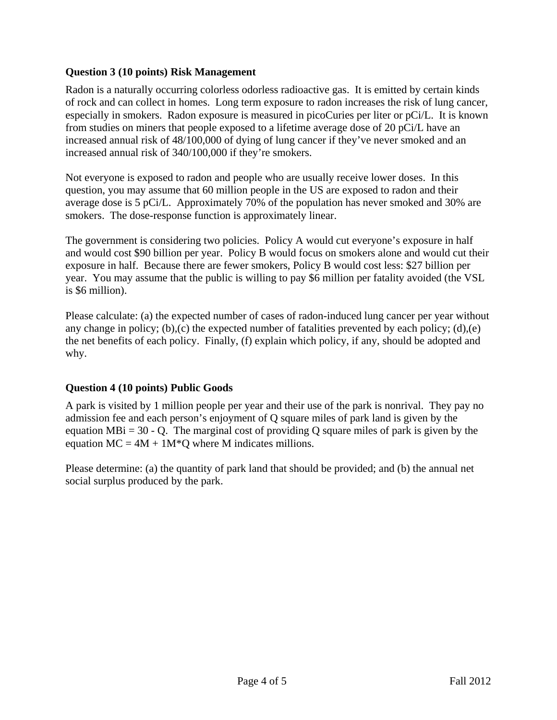#### **Question 3 (10 points) Risk Management**

Radon is a naturally occurring colorless odorless radioactive gas. It is emitted by certain kinds of rock and can collect in homes. Long term exposure to radon increases the risk of lung cancer, especially in smokers. Radon exposure is measured in picoCuries per liter or pCi/L. It is known from studies on miners that people exposed to a lifetime average dose of 20 pCi/L have an increased annual risk of 48/100,000 of dying of lung cancer if they've never smoked and an increased annual risk of 340/100,000 if they're smokers.

Not everyone is exposed to radon and people who are usually receive lower doses. In this question, you may assume that 60 million people in the US are exposed to radon and their average dose is 5 pCi/L. Approximately 70% of the population has never smoked and 30% are smokers. The dose-response function is approximately linear.

The government is considering two policies. Policy A would cut everyone's exposure in half and would cost \$90 billion per year. Policy B would focus on smokers alone and would cut their exposure in half. Because there are fewer smokers, Policy B would cost less: \$27 billion per year. You may assume that the public is willing to pay \$6 million per fatality avoided (the VSL is \$6 million).

Please calculate: (a) the expected number of cases of radon-induced lung cancer per year without any change in policy; (b),(c) the expected number of fatalities prevented by each policy; (d),(e) the net benefits of each policy. Finally, (f) explain which policy, if any, should be adopted and why.

## **Question 4 (10 points) Public Goods**

A park is visited by 1 million people per year and their use of the park is nonrival. They pay no admission fee and each person's enjoyment of Q square miles of park land is given by the equation MBi =  $30 - Q$ . The marginal cost of providing Q square miles of park is given by the equation  $MC = 4M + 1M^*Q$  where M indicates millions.

Please determine: (a) the quantity of park land that should be provided; and (b) the annual net social surplus produced by the park.